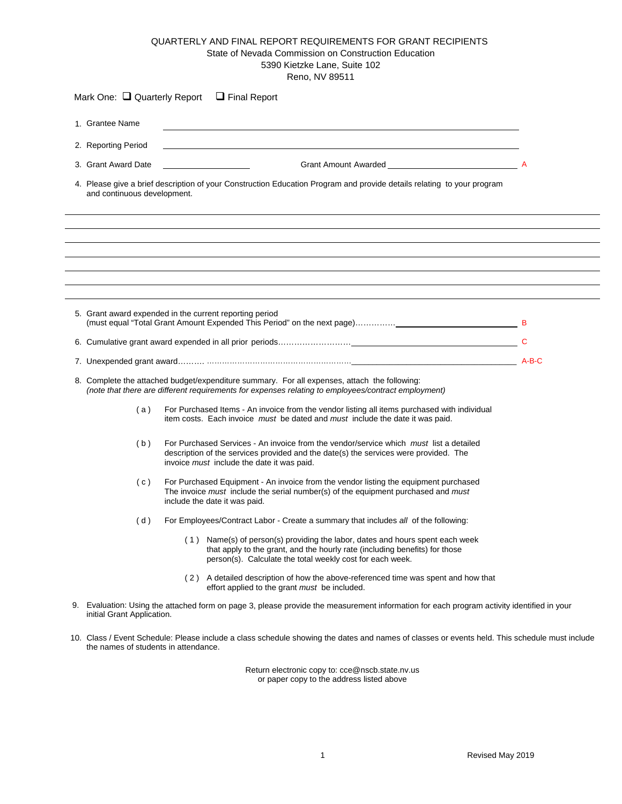## QUARTERLY AND FINAL REPORT REQUIREMENTS FOR GRANT RECIPIENTS State of Nevada Commission on Construction Education 5390 Kietzke Lane, Suite 102 Reno, NV 89511

|                                                         | 1. Grantee Name             |                                                                                                                                                                                                                              |  |  |  |
|---------------------------------------------------------|-----------------------------|------------------------------------------------------------------------------------------------------------------------------------------------------------------------------------------------------------------------------|--|--|--|
|                                                         | 2. Reporting Period         |                                                                                                                                                                                                                              |  |  |  |
| Grant Amount Awarded Amount 2014<br>3. Grant Award Date |                             |                                                                                                                                                                                                                              |  |  |  |
|                                                         | and continuous development. | 4. Please give a brief description of your Construction Education Program and provide details relating to your program                                                                                                       |  |  |  |
|                                                         |                             |                                                                                                                                                                                                                              |  |  |  |
|                                                         |                             | 5. Grant award expended in the current reporting period                                                                                                                                                                      |  |  |  |
|                                                         |                             |                                                                                                                                                                                                                              |  |  |  |
|                                                         |                             |                                                                                                                                                                                                                              |  |  |  |
|                                                         |                             | 8. Complete the attached budget/expenditure summary. For all expenses, attach the following:<br>(note that there are different requirements for expenses relating to employees/contract employment)                          |  |  |  |
|                                                         | (a)                         | For Purchased Items - An invoice from the vendor listing all items purchased with individual<br>item costs. Each invoice must be dated and must include the date it was paid.                                                |  |  |  |
|                                                         |                             |                                                                                                                                                                                                                              |  |  |  |
|                                                         | (b)                         | For Purchased Services - An invoice from the vendor/service which must list a detailed<br>description of the services provided and the date(s) the services were provided. The<br>invoice must include the date it was paid. |  |  |  |
|                                                         | (c)                         | For Purchased Equipment - An invoice from the vendor listing the equipment purchased<br>The invoice must include the serial number(s) of the equipment purchased and must<br>include the date it was paid.                   |  |  |  |
|                                                         | (d)                         | For Employees/Contract Labor - Create a summary that includes all of the following:                                                                                                                                          |  |  |  |
|                                                         |                             | (1) Name(s) of person(s) providing the labor, dates and hours spent each week<br>that apply to the grant, and the hourly rate (including benefits) for those<br>person(s). Calculate the total weekly cost for each week.    |  |  |  |
|                                                         |                             | (2) A detailed description of how the above-referenced time was spent and how that<br>effort applied to the grant must be included.                                                                                          |  |  |  |

Return electronic copy to: cce@nscb.state.nv.us or paper copy to the address listed above

the names of students in attendance.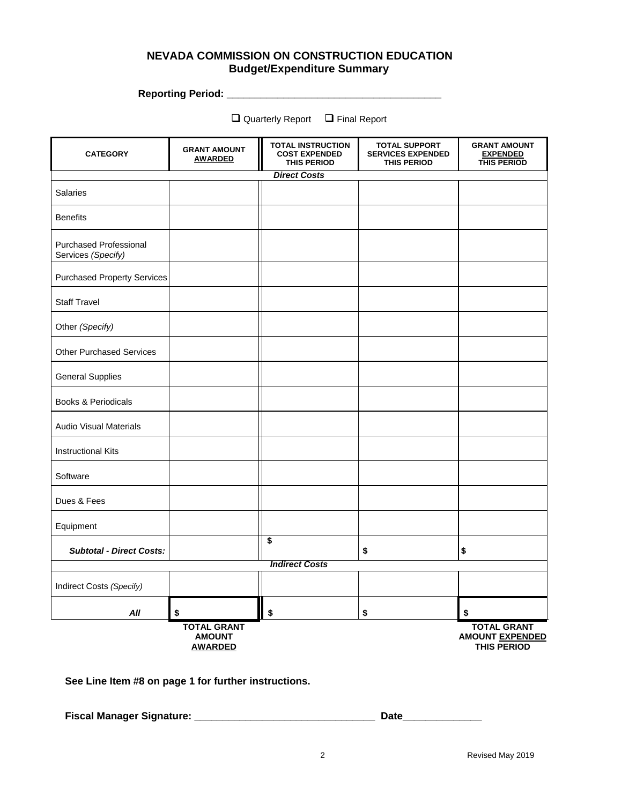## **NEVADA COMMISSION ON CONSTRUCTION EDUCATION Budget/Expenditure Summary**

**Reporting Period: \_\_\_\_\_\_\_\_\_\_\_\_\_\_\_\_\_\_\_\_\_\_\_\_\_\_\_\_\_\_\_\_\_\_\_\_\_\_** 

 $\square$  Quarterly Report  $\square$  Final Report

| <b>CATEGORY</b>                              | <b>GRANT AMOUNT</b><br><b>AWARDED</b>                 | <b>TOTAL INSTRUCTION</b><br><b>COST EXPENDED</b><br><b>THIS PERIOD</b> | <b>TOTAL SUPPORT</b><br><b>SERVICES EXPENDED</b><br><b>THIS PERIOD</b> | <b>GRANT AMOUNT</b><br><b>EXPENDED</b><br>THIS PERIOD              |  |  |  |  |
|----------------------------------------------|-------------------------------------------------------|------------------------------------------------------------------------|------------------------------------------------------------------------|--------------------------------------------------------------------|--|--|--|--|
| <b>Direct Costs</b>                          |                                                       |                                                                        |                                                                        |                                                                    |  |  |  |  |
| <b>Salaries</b>                              |                                                       |                                                                        |                                                                        |                                                                    |  |  |  |  |
| <b>Benefits</b>                              |                                                       |                                                                        |                                                                        |                                                                    |  |  |  |  |
| Purchased Professional<br>Services (Specify) |                                                       |                                                                        |                                                                        |                                                                    |  |  |  |  |
| <b>Purchased Property Services</b>           |                                                       |                                                                        |                                                                        |                                                                    |  |  |  |  |
| <b>Staff Travel</b>                          |                                                       |                                                                        |                                                                        |                                                                    |  |  |  |  |
| Other (Specify)                              |                                                       |                                                                        |                                                                        |                                                                    |  |  |  |  |
| <b>Other Purchased Services</b>              |                                                       |                                                                        |                                                                        |                                                                    |  |  |  |  |
| <b>General Supplies</b>                      |                                                       |                                                                        |                                                                        |                                                                    |  |  |  |  |
| Books & Periodicals                          |                                                       |                                                                        |                                                                        |                                                                    |  |  |  |  |
| <b>Audio Visual Materials</b>                |                                                       |                                                                        |                                                                        |                                                                    |  |  |  |  |
| <b>Instructional Kits</b>                    |                                                       |                                                                        |                                                                        |                                                                    |  |  |  |  |
| Software                                     |                                                       |                                                                        |                                                                        |                                                                    |  |  |  |  |
| Dues & Fees                                  |                                                       |                                                                        |                                                                        |                                                                    |  |  |  |  |
| Equipment                                    |                                                       |                                                                        |                                                                        |                                                                    |  |  |  |  |
| <b>Subtotal - Direct Costs:</b>              |                                                       | \$                                                                     | \$                                                                     | \$                                                                 |  |  |  |  |
|                                              |                                                       | <b>Indirect Costs</b>                                                  |                                                                        |                                                                    |  |  |  |  |
| Indirect Costs (Specify)                     |                                                       |                                                                        |                                                                        |                                                                    |  |  |  |  |
| All                                          | \$                                                    | \$                                                                     | \$                                                                     | \$                                                                 |  |  |  |  |
|                                              | <b>TOTAL GRANT</b><br><b>AMOUNT</b><br><b>AWARDED</b> |                                                                        |                                                                        | <b>TOTAL GRANT</b><br><b>AMOUNT EXPENDED</b><br><b>THIS PERIOD</b> |  |  |  |  |

**See Line Item #8 on page 1 for further instructions.** 

**Fiscal Manager Signature: \_\_\_\_\_\_\_\_\_\_\_\_\_\_\_\_\_\_\_\_\_\_\_\_\_\_\_\_\_\_\_\_ Date\_\_\_\_\_\_\_\_\_\_\_\_\_\_**